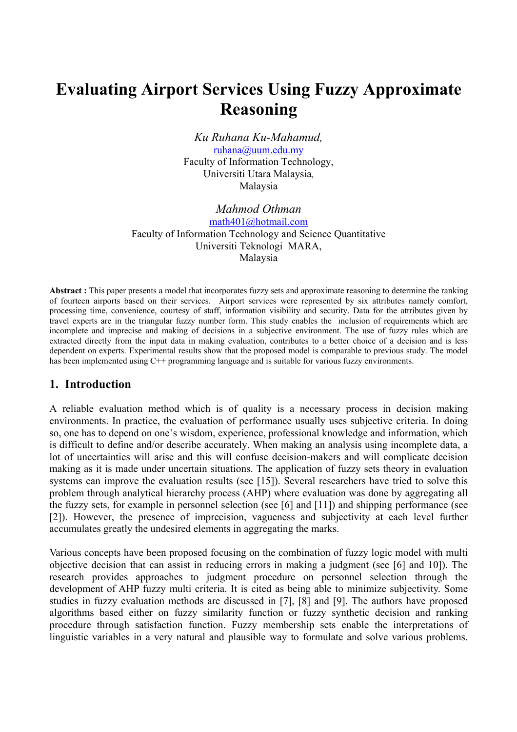# **Evaluating Airport Services Using Fuzzy Approximate Reasoning**

*Ku Ruhana Ku-Mahamud,*  ruhana@uum.edu.my Faculty of Information Technology, Universiti Utara Malaysia, Malaysia

*Mahmod Othman*  math401@hotmail.com Faculty of Information Technology and Science Quantitative Universiti Teknologi MARA, Malaysia

**Abstract :** This paper presents a model that incorporates fuzzy sets and approximate reasoning to determine the ranking of fourteen airports based on their services. Airport services were represented by six attributes namely comfort, processing time, convenience, courtesy of staff, information visibility and security. Data for the attributes given by travel experts are in the triangular fuzzy number form. This study enables the inclusion of requirements which are incomplete and imprecise and making of decisions in a subjective environment. The use of fuzzy rules which are extracted directly from the input data in making evaluation, contributes to a better choice of a decision and is less dependent on experts. Experimental results show that the proposed model is comparable to previous study. The model has been implemented using C<sup>++</sup> programming language and is suitable for various fuzzy environments.

#### **1. Introduction**

A reliable evaluation method which is of quality is a necessary process in decision making environments. In practice, the evaluation of performance usually uses subjective criteria. In doing so, one has to depend on one's wisdom, experience, professional knowledge and information, which is difficult to define and/or describe accurately. When making an analysis using incomplete data, a lot of uncertainties will arise and this will confuse decision-makers and will complicate decision making as it is made under uncertain situations. The application of fuzzy sets theory in evaluation systems can improve the evaluation results (see [15]). Several researchers have tried to solve this problem through analytical hierarchy process (AHP) where evaluation was done by aggregating all the fuzzy sets, for example in personnel selection (see [6] and [11]) and shipping performance (see [2]). However, the presence of imprecision, vagueness and subjectivity at each level further accumulates greatly the undesired elements in aggregating the marks.

Various concepts have been proposed focusing on the combination of fuzzy logic model with multi objective decision that can assist in reducing errors in making a judgment (see [6] and 10]). The research provides approaches to judgment procedure on personnel selection through the development of AHP fuzzy multi criteria. It is cited as being able to minimize subjectivity. Some studies in fuzzy evaluation methods are discussed in [7], [8] and [9]. The authors have proposed algorithms based either on fuzzy similarity function or fuzzy synthetic decision and ranking procedure through satisfaction function. Fuzzy membership sets enable the interpretations of linguistic variables in a very natural and plausible way to formulate and solve various problems.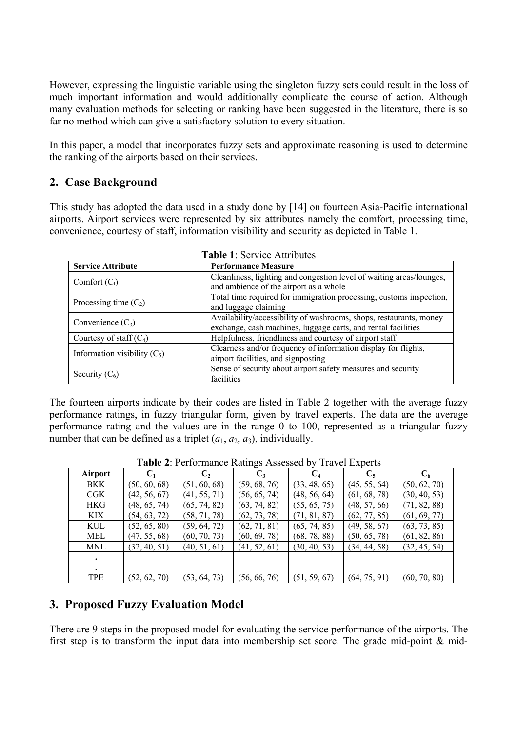However, expressing the linguistic variable using the singleton fuzzy sets could result in the loss of much important information and would additionally complicate the course of action. Although many evaluation methods for selecting or ranking have been suggested in the literature, there is so far no method which can give a satisfactory solution to every situation.

In this paper, a model that incorporates fuzzy sets and approximate reasoning is used to determine the ranking of the airports based on their services.

## **2. Case Background**

This study has adopted the data used in a study done by [14] on fourteen Asia-Pacific international airports. Airport services were represented by six attributes namely the comfort, processing time, convenience, courtesy of staff, information visibility and security as depicted in Table 1.

**Table 1:** Service Attributes Attributes Attributes Attributes Attributes Attributes Attributes Attributes Attributes Attributes Attributes Attributes Attributes Attributes Attributes Attributes Attributes Attributes Attri

| <b>Table 1. Service Autibules</b> |                                                                                                                                     |  |  |  |  |  |
|-----------------------------------|-------------------------------------------------------------------------------------------------------------------------------------|--|--|--|--|--|
| <b>Service Attribute</b>          | <b>Performance Measure</b>                                                                                                          |  |  |  |  |  |
| Comfort $(C_1)$                   | Cleanliness, lighting and congestion level of waiting areas/lounges,<br>and ambience of the airport as a whole                      |  |  |  |  |  |
| Processing time $(C_2)$           | Total time required for immigration processing, customs inspection,<br>and luggage claiming                                         |  |  |  |  |  |
| Convenience $(C_3)$               | Availability/accessibility of washrooms, shops, restaurants, money<br>exchange, cash machines, luggage carts, and rental facilities |  |  |  |  |  |
| Courtesy of staff $(C_4)$         | Helpfulness, friendliness and courtesy of airport staff                                                                             |  |  |  |  |  |
| Information visibility $(C_5)$    | Clearness and/or frequency of information display for flights,<br>airport facilities, and signposting                               |  |  |  |  |  |
| Security $(C_6)$                  | Sense of security about airport safety measures and security<br>facilities                                                          |  |  |  |  |  |

The fourteen airports indicate by their codes are listed in Table 2 together with the average fuzzy performance ratings, in fuzzy triangular form, given by travel experts. The data are the average performance rating and the values are in the range 0 to 100, represented as a triangular fuzzy number that can be defined as a triplet  $(a_1, a_2, a_3)$ , individually.

|            | <b>TWORE.</b> I CHOHIMRO RUGHED TROCOCCO $\theta$ THRICH EXPORTS |              |                |              |              |              |  |  |  |  |
|------------|------------------------------------------------------------------|--------------|----------------|--------------|--------------|--------------|--|--|--|--|
| Airport    |                                                                  | C,           | $\mathbf{C}_3$ |              |              | $C_6$        |  |  |  |  |
| BKK        | (50, 60, 68)                                                     | (51, 60, 68) | (59, 68, 76)   | (33, 48, 65) | (45, 55, 64) | (50, 62, 70) |  |  |  |  |
| CGK        | (42, 56, 67)                                                     | (41, 55, 71) | (56, 65, 74)   | (48, 56, 64) | (61, 68, 78) | (30, 40, 53) |  |  |  |  |
| HKG        | (48, 65, 74)                                                     | (65, 74, 82) | (63, 74, 82)   | (55, 65, 75) | (48, 57, 66) | (71, 82, 88) |  |  |  |  |
| KIX        | (54, 63, 72)                                                     | (58, 71, 78) | (62, 73, 78)   | (71, 81, 87) | (62, 77, 85) | (61, 69, 77) |  |  |  |  |
| KUL        | (52, 65, 80)                                                     | (59, 64, 72) | (62, 71, 81)   | (65, 74, 85) | (49, 58, 67) | (63, 73, 85) |  |  |  |  |
| MEL        | (47, 55, 68)                                                     | (60, 70, 73) | (60, 69, 78)   | (68, 78, 88) | (50, 65, 78) | (61, 82, 86) |  |  |  |  |
| MNL        | (32, 40, 51)                                                     | (40, 51, 61) | (41, 52, 61)   | (30, 40, 53) | (34, 44, 58) | (32, 45, 54) |  |  |  |  |
|            |                                                                  |              |                |              |              |              |  |  |  |  |
|            |                                                                  |              |                |              |              |              |  |  |  |  |
| <b>TPE</b> | (52, 62, 70)                                                     | (53, 64, 73) | (56, 66, 76)   | (51, 59, 67) | (64, 75, 91) | (60, 70, 80) |  |  |  |  |

**Table 2**: Performance Ratings Assessed by Travel Experts

## **3. Proposed Fuzzy Evaluation Model**

There are 9 steps in the proposed model for evaluating the service performance of the airports. The first step is to transform the input data into membership set score. The grade mid-point & mid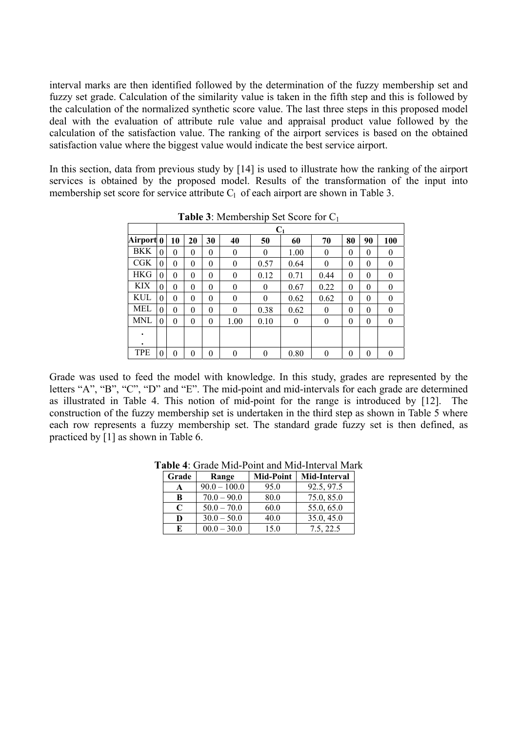interval marks are then identified followed by the determination of the fuzzy membership set and fuzzy set grade. Calculation of the similarity value is taken in the fifth step and this is followed by the calculation of the normalized synthetic score value. The last three steps in this proposed model deal with the evaluation of attribute rule value and appraisal product value followed by the calculation of the satisfaction value. The ranking of the airport services is based on the obtained satisfaction value where the biggest value would indicate the best service airport.

In this section, data from previous study by [14] is used to illustrate how the ranking of the airport services is obtained by the proposed model. Results of the transformation of the input into membership set score for service attribute  $C_1$  of each airport are shown in Table 3.

|            |          | $C_1$    |          |          |          |          |          |                |          |          |          |
|------------|----------|----------|----------|----------|----------|----------|----------|----------------|----------|----------|----------|
| Airport 0  |          | 10       | 20       | 30       | 40       | 50       | 60       | 70             | 80       | 90       | 100      |
| BKK        | $\theta$ | $\theta$ | $\theta$ | $\theta$ | $\theta$ | $\theta$ | 1.00     | $\theta$       | $\theta$ | $\theta$ | 0        |
| <b>CGK</b> | $\theta$ | $\theta$ | $\theta$ | $\theta$ | $\theta$ | 0.57     | 0.64     | $\theta$       | $\theta$ | $\theta$ | 0        |
| <b>HKG</b> | $\theta$ | $\theta$ | $\theta$ | $\theta$ | $\theta$ | 0.12     | 0.71     | 0.44           | $\theta$ | $\theta$ | $\theta$ |
| KIX        | $\theta$ | $\theta$ | $\theta$ | $\theta$ | $\theta$ | $\theta$ | 0.67     | 0.22           | $\theta$ | $\theta$ | $\theta$ |
| KUL        | $\theta$ | $\theta$ | $\theta$ | $\theta$ | $\theta$ | $\theta$ | 0.62     | 0.62           | $\theta$ | $\theta$ | $\theta$ |
| MEL        | $\theta$ | $\theta$ | $\theta$ | $\theta$ | $\theta$ | 0.38     | 0.62     | $\theta$       | $\theta$ | $\theta$ | $\theta$ |
| MNL        | $\theta$ | $\theta$ | $\theta$ | $\theta$ | 1.00     | 0.10     | $\theta$ | $\overline{0}$ | $\theta$ | $\theta$ | $\theta$ |
| ٠          |          |          |          |          |          |          |          |                |          |          |          |
| ٠          |          |          |          |          |          |          |          |                |          |          |          |
| TPE        | 0        | 0        | 0        | $\theta$ | $\theta$ | $\theta$ | 0.80     | $\theta$       | $\theta$ | 0        | 0        |

**Table 3**: Membership Set Score for C1

Grade was used to feed the model with knowledge. In this study, grades are represented by the letters "A", "B", "C", "D" and "E". The mid-point and mid-intervals for each grade are determined as illustrated in Table 4. This notion of mid-point for the range is introduced by [12]. The construction of the fuzzy membership set is undertaken in the third step as shown in Table 5 where each row represents a fuzzy membership set. The standard grade fuzzy set is then defined, as practiced by [1] as shown in Table 6.

|             |                |                  | abic 4. Onago iyini 1 olin alig iyini muci var iyigi |
|-------------|----------------|------------------|------------------------------------------------------|
| Grade       | Range          | <b>Mid-Point</b> | Mid-Interval                                         |
| A           | $90.0 - 100.0$ | 95.0             | 92.5, 97.5                                           |
| B           | $70.0 - 90.0$  | 80.0             | 75.0, 85.0                                           |
| $\mathbf C$ | $50.0 - 70.0$  | 60.0             | 55.0, 65.0                                           |
| D           | $30.0 - 50.0$  | 40.0             | 35.0, 45.0                                           |
| E           | $00.0 - 30.0$  | 15.0             | 7.5, 22.5                                            |

**Table 4**: Grade Mid-Point and Mid-Interval Mark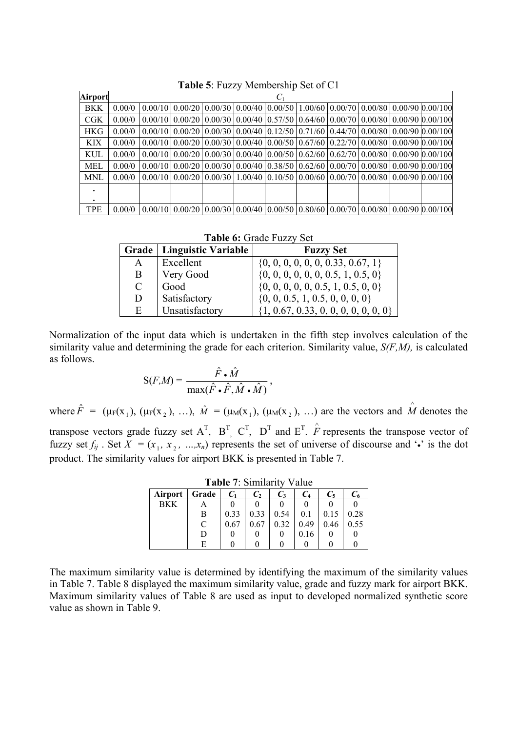| Airport    |        |  |  | $C_1$ |  |  |                                                                                                                        |
|------------|--------|--|--|-------|--|--|------------------------------------------------------------------------------------------------------------------------|
| <b>BKK</b> | 0.00/0 |  |  |       |  |  | $0.00/10$   $0.00/20$   $0.00/30$   $0.00/40$   $0.00/50$   $1.00/60$   $0.00/70$   $0.00/80$   $0.00/90$   $0.00/100$ |
| CGK        | 0.00/0 |  |  |       |  |  | $0.00/10$   $0.00/20$   $0.00/30$   $0.00/40$   $0.57/50$   $0.64/60$   $0.00/70$   $0.00/80$   $0.00/90$   $0.00/100$ |
| <b>HKG</b> | 0.00/0 |  |  |       |  |  | $0.00/10$   $0.00/20$   $0.00/30$   $0.00/40$   $0.12/50$   $0.71/60$   $0.44/70$   $0.00/80$   $0.00/90$   $0.00/100$ |
| KIX        | 0.00/0 |  |  |       |  |  | $0.00/10$   $0.00/20$   $0.00/30$   $0.00/40$   $0.00/50$   $0.67/60$   $0.22/70$   $0.00/80$   $0.00/90$   $0.00/100$ |
| KUL        | 0.00/0 |  |  |       |  |  | $0.00/10$   $0.00/20$   $0.00/30$   $0.00/40$   $0.00/50$   $0.62/60$   $0.62/70$   $0.00/80$   $0.00/90$   $0.00/100$ |
| MEL        | 0.00/0 |  |  |       |  |  | $0.00/10$   $0.00/20$   $0.00/30$   $0.00/40$   $0.38/50$   $0.62/60$   $0.00/70$   $0.00/80$   $0.00/90$   $0.00/100$ |
| MNL        | 0.00/0 |  |  |       |  |  | $0.00/10$   $0.00/20$   $0.00/30$   $1.00/40$   $0.10/50$   $0.00/60$   $0.00/70$   $0.00/80$   $0.00/90$   $0.00/100$ |
|            |        |  |  |       |  |  |                                                                                                                        |
| ٠          |        |  |  |       |  |  |                                                                                                                        |
| <b>TPE</b> | 0.00/0 |  |  |       |  |  | $0.00/10$   $0.00/20$   $0.00/30$   $0.00/40$   $0.00/50$   $0.80/60$   $0.00/70$   $0.00/80$   $0.00/90$   $0.00/100$ |

**Table 5**: Fuzzy Membership Set of C1

**Table 6:** Grade Fuzzy Set

|               | Grade   Linguistic Variable | <b>Fuzzy Set</b>                         |
|---------------|-----------------------------|------------------------------------------|
| A             | Excellent                   | $\{0, 0, 0, 0, 0, 0, 0.33, 0.67, 1\}$    |
| B             | Very Good                   | $\{0, 0, 0, 0, 0, 0, 0.5, 1, 0.5, 0\}$   |
| $\mathcal{C}$ | Good                        | $\{0, 0, 0, 0, 0, 0.5, 1, 0.5, 0, 0\}$   |
| D             | Satisfactory                | $\{0, 0, 0.5, 1, 0.5, 0, 0, 0, 0\}$      |
| E             | Unsatisfactory              | $\{1, 0.67, 0.33, 0, 0, 0, 0, 0, 0, 0\}$ |

Normalization of the input data which is undertaken in the fifth step involves calculation of the similarity value and determining the grade for each criterion. Similarity value, *S(F,M),* is calculated as follows.

$$
S(F,M) = \frac{\hat{F} \cdot \hat{M}}{\max(\hat{F} \cdot \hat{F}, \hat{M} \cdot \hat{M})},
$$

where  $\hat{F} = (\mu_F(x_1), (\mu_F(x_2), \ldots), \hat{M} = (\mu_M(x_1), (\mu_M(x_2), \ldots)$  are the vectors and  $\hat{M}$  denotes the

transpose vectors grade fuzzy set  $A^T$ ,  $B^T$ ,  $C^T$ ,  $D^T$  and  $E^T$ .  $\hat{F}$  represents the transpose vector of fuzzy set  $f_{ij}$ . Set  $X = (x_1, x_2, ..., x_n)$  represents the set of universe of discourse and  $\cdot \cdot$  is the dot product. The similarity values for airport BKK is presented in Table 7.

| $1$ avit $1.$ Diminum $1.$<br>v aiuv |           |       |      |       |       |      |      |  |  |  |
|--------------------------------------|-----------|-------|------|-------|-------|------|------|--|--|--|
| Airport                              | Grade     | $C_1$ | C,   | $C_3$ | $C_4$ | C,   |      |  |  |  |
| BKK                                  |           |       |      |       |       |      |      |  |  |  |
|                                      | В         | 0.33  | 0.33 | 0.54  | 0.1   | 0.15 | 0.28 |  |  |  |
|                                      | $\subset$ | 0.67  |      | 0.32  | 0.49  | 0.46 | 0.55 |  |  |  |
|                                      | D         |       |      |       | 0.16  |      |      |  |  |  |
|                                      | F         |       |      |       |       |      |      |  |  |  |

**Table 7**: Similarity Value

The maximum similarity value is determined by identifying the maximum of the similarity values in Table 7. Table 8 displayed the maximum similarity value, grade and fuzzy mark for airport BKK. Maximum similarity values of Table 8 are used as input to developed normalized synthetic score value as shown in Table 9.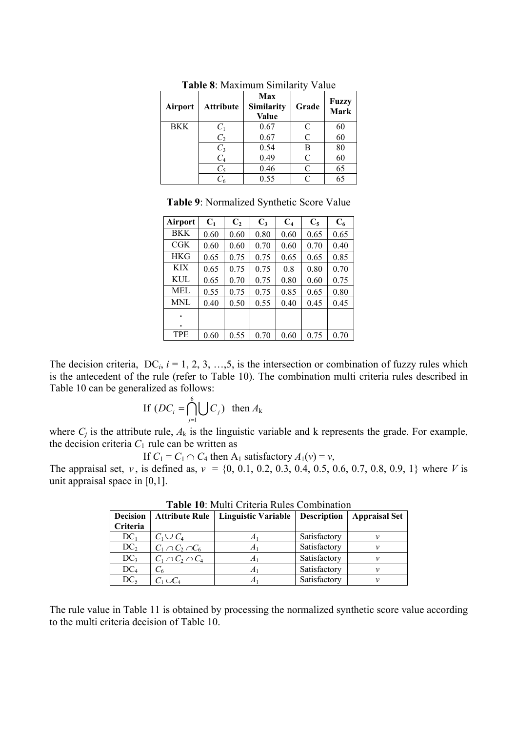| Airport    | <b>Attribute</b> | Max<br>Similarity<br>Value | Grade     | <b>Fuzzy</b><br>Mark |
|------------|------------------|----------------------------|-----------|----------------------|
| <b>BKK</b> | $C_1$            | 0.67                       | C         | 60                   |
|            | $C_2$            | 0.67                       | C         | 60                   |
|            | $C_3$            | 0.54                       | В         | 80                   |
|            | $C_4$            | 0.49                       | C         | 60                   |
|            | $C_5$            | 0.46                       | C         | 65                   |
|            |                  | 0.55                       | $\subset$ | 65                   |

**Table 8**: Maximum Similarity Value

**Table 9**: Normalized Synthetic Score Value

| Airport    | $C_1$ | C <sub>2</sub> | $C_3$ | C <sub>4</sub> | $C_5$ | $C_6$ |
|------------|-------|----------------|-------|----------------|-------|-------|
| <b>BKK</b> | 0.60  | 0.60           | 0.80  | 0.60           | 0.65  | 0.65  |
| $C$ GK     | 0.60  | 0.60           | 0.70  | 0.60           | 0.70  | 0.40  |
| <b>HKG</b> | 0.65  | 0.75           | 0.75  | 0.65           | 0.65  | 0.85  |
| <b>KIX</b> | 0.65  | 0.75           | 0.75  | 0.8            | 0.80  | 0.70  |
| KUL        | 0.65  | 0.70           | 0.75  | 0.80           | 0.60  | 0.75  |
| MEL.       | 0.55  | 0.75           | 0.75  | 0.85           | 0.65  | 0.80  |
| MNL        | 0.40  | 0.50           | 0.55  | 0.40           | 0.45  | 0.45  |
|            |       |                |       |                |       |       |
|            |       |                |       |                |       |       |
| <b>TPE</b> | 0.60  | 0.55           | 0.70  | 0.60           | 0.75  | 0.70  |

The decision criteria,  $DC_i$ ,  $i = 1, 2, 3, ..., 5$ , is the intersection or combination of fuzzy rules which is the antecedent of the rule (refer to Table 10). The combination multi criteria rules described in Table 10 can be generalized as follows:

If 
$$
(DC_i = \bigcap_{j=1}^{6} \bigcup C_j)
$$
 then  $A_k$ 

where  $C_i$  is the attribute rule,  $A_k$  is the linguistic variable and k represents the grade. For example, the decision criteria  $C_1$  rule can be written as

If  $C_1 = C_1 \cap C_4$  then  $A_1$  satisfactory  $A_1(v) = v$ ,

The appraisal set, *v*, is defined as,  $v = \{0, 0.1, 0.2, 0.3, 0.4, 0.5, 0.6, 0.7, 0.8, 0.9, 1\}$  where *V* is unit appraisal space in [0,1].

| 1 WMIV 19. BILWIM CIIWIIW INMIVO COINONIMMON |                         |                                                    |              |                      |  |  |  |  |  |  |
|----------------------------------------------|-------------------------|----------------------------------------------------|--------------|----------------------|--|--|--|--|--|--|
| <b>Decision</b>                              |                         | Attribute Rule   Linguistic Variable   Description |              | <b>Appraisal Set</b> |  |  |  |  |  |  |
| Criteria                                     |                         |                                                    |              |                      |  |  |  |  |  |  |
| $DC_1$                                       | $C_1 \cup C_4$          | л                                                  | Satisfactory |                      |  |  |  |  |  |  |
| DC <sub>2</sub>                              | $C_1 \cap C_2 \cap C_6$ | A                                                  | Satisfactory |                      |  |  |  |  |  |  |
| DC <sub>3</sub>                              | $C_1 \cap C_2 \cap C_4$ | A1                                                 | Satisfactory |                      |  |  |  |  |  |  |
| DC <sub>4</sub>                              |                         | $A^{\prime}$                                       | Satisfactory |                      |  |  |  |  |  |  |
| $DC_5$                                       | $C_1 \cup C_4$          | л                                                  | Satisfactory |                      |  |  |  |  |  |  |

**Table 10**: Multi Criteria Rules Combination

The rule value in Table 11 is obtained by processing the normalized synthetic score value according to the multi criteria decision of Table 10.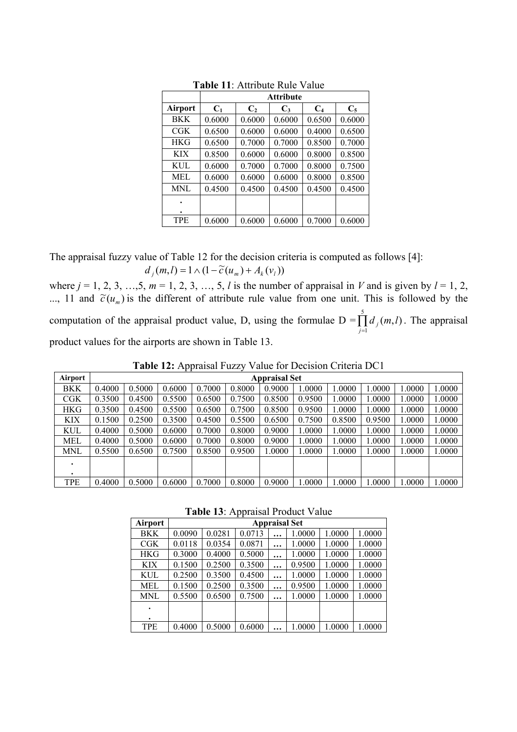|            |        |        | <b>Attribute</b> |        |        |
|------------|--------|--------|------------------|--------|--------|
| Airport    | $C_1$  | $C_2$  | $C_3$            | $C_4$  | $C_5$  |
| <b>BKK</b> | 0.6000 | 0.6000 | 0.6000           | 0.6500 | 0.6000 |
| <b>CGK</b> | 0.6500 | 0.6000 | 0.6000           | 0.4000 | 0.6500 |
| <b>HKG</b> | 0.6500 | 0.7000 | 0.7000           | 0.8500 | 0.7000 |
| <b>KIX</b> | 0.8500 | 0.6000 | 0.6000           | 0.8000 | 0.8500 |
| KUL.       | 0.6000 | 0.7000 | 0.7000           | 0.8000 | 0.7500 |
| MEL        | 0.6000 | 0.6000 | 0.6000           | 0.8000 | 0.8500 |
| MNL        | 0.4500 | 0.4500 | 0.4500           | 0.4500 | 0.4500 |
|            |        |        |                  |        |        |
|            |        |        |                  |        |        |
| <b>TPE</b> | 0.6000 | 0.6000 | 0.6000           | 0.7000 | 0.6000 |

**Table 11**: Attribute Rule Value

The appraisal fuzzy value of Table 12 for the decision criteria is computed as follows [4]:

 $d_i$   $(m, l) = 1 \wedge (1 - \tilde{c}(u_m) + A_k(v_l))$ 

where  $j = 1, 2, 3, ..., 5, m = 1, 2, 3, ..., 5, l$  is the number of appraisal in *V* and is given by  $l = 1, 2,$ ..., 11 and  $\tilde{c}(u_m)$  is the different of attribute rule value from one unit. This is followed by the computation of the appraisal product value, D, using the formulae  $D = \prod_{j=1}^{5}$ 1  $(m, l)$  $\prod_{j=1} d_j(m,l)$ . The appraisal product values for the airports are shown in Table 13.

**Table 12:** Appraisal Fuzzy Value for Decision Criteria DC1

| <b>Airport</b> |        | <b>Appraisal Set</b> |        |        |        |        |        |        |        |        |        |
|----------------|--------|----------------------|--------|--------|--------|--------|--------|--------|--------|--------|--------|
| BKK            | 0.4000 | 0.5000               | 0.6000 | 0.7000 | 0.8000 | 0.9000 | 1.0000 | 1.0000 | 0000.  | 0000.  | 1.0000 |
| $C$ GK         | 0.3500 | 0.4500               | 0.5500 | 0.6500 | 0.7500 | 0.8500 | 0.9500 | 1.0000 | 0000.  | 1.0000 | 1.0000 |
| HKG            | 0.3500 | 0.4500               | 0.5500 | 0.6500 | 0.7500 | 0.8500 | 0.9500 | 1.0000 | 0000.  | 0000.1 | 1.0000 |
| KIX            | 0.1500 | 0.2500               | 0.3500 | 0.4500 | 0.5500 | 0.6500 | 0.7500 | 0.8500 | 0.9500 | 1.0000 | 1.0000 |
| KUL            | 0.4000 | 0.5000               | 0.6000 | 0.7000 | 0.8000 | 0.9000 | 1.0000 | 1.0000 | 0000.1 | 1.0000 | 1.0000 |
| MEL            | 0.4000 | 0.5000               | 0.6000 | 0.7000 | 0.8000 | 0.9000 | 1.0000 | 1.0000 | .0000  | 0000.  | 1.0000 |
| MNL            | 0.5500 | 0.6500               | 0.7500 | 0.8500 | 0.9500 | 1.0000 | 1.0000 | 1.0000 | 1.0000 | 1.0000 | 1.0000 |
| ٠              |        |                      |        |        |        |        |        |        |        |        |        |
| ٠              |        |                      |        |        |        |        |        |        |        |        |        |
| TPE            | 0.4000 | 0.5000               | 0.6000 | 0.7000 | 0.8000 | 0.9000 | 1.0000 | 1.0000 | 1.0000 | 1.0000 | 1.0000 |

**Table 13**: Appraisal Product Value

| Airport    | <b>Appraisal Set</b> |        |        |  |        |        |        |
|------------|----------------------|--------|--------|--|--------|--------|--------|
| BKK        | 0.0090               | 0.0281 | 0.0713 |  | 1.0000 | 1.0000 | 1.0000 |
| $C$ GK     | 0.0118               | 0.0354 | 0.0871 |  | 1.0000 | 1.0000 | 1.0000 |
| <b>HKG</b> | 0.3000               | 0.4000 | 0.5000 |  | 1.0000 | 1.0000 | 1.0000 |
| <b>KIX</b> | 0.1500               | 0.2500 | 0.3500 |  | 0.9500 | 1.0000 | 1.0000 |
| KUL        | 0.2500               | 0.3500 | 0.4500 |  | 1.0000 | 1.0000 | 1.0000 |
| MEL        | 0.1500               | 0.2500 | 0.3500 |  | 0.9500 | 1.0000 | 1.0000 |
| MNL        | 0.5500               | 0.6500 | 0.7500 |  | 1.0000 | 1.0000 | 1.0000 |
|            |                      |        |        |  |        |        |        |
|            |                      |        |        |  |        |        |        |
| TPE        | 0.4000               | 0.5000 | 0.6000 |  | .0000  | 1.0000 | 1.0000 |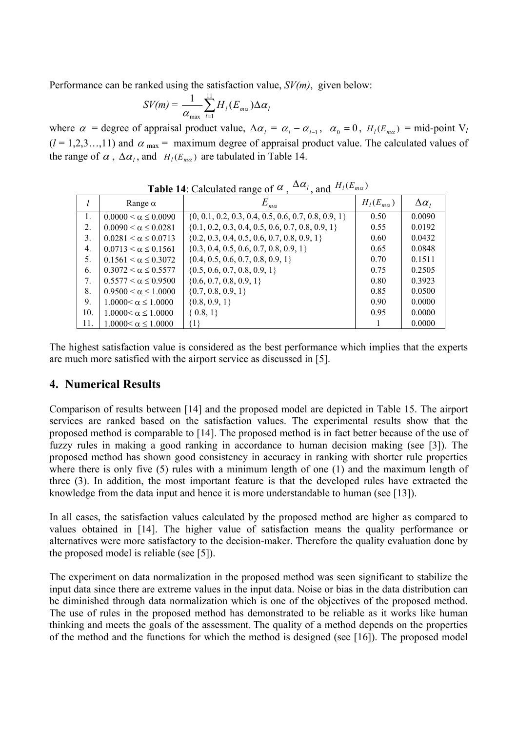Performance can be ranked using the satisfaction value, *SV(m)*, given below:

$$
SV(m) = \frac{1}{\alpha_{\max}} \sum_{l=1}^{11} H_l(E_{m\alpha}) \Delta \alpha_l
$$

where  $\alpha$  = degree of appraisal product value,  $\Delta \alpha_l = \alpha_l - \alpha_{l-1}$ ,  $\alpha_0 = 0$ ,  $H_l(E_{ma}) = \text{mid-point } V_l$  $(l = 1, 2, 3, \ldots, 11)$  and  $\alpha_{\text{max}} = \text{maximum degree of aapgraisal product value.}$  The calculated values of the range of  $\alpha$ ,  $\Delta \alpha_i$ , and  $H_l(E_{ma})$  are tabulated in Table 14.

|                  | Range $\alpha$                   | $E_{m\alpha}$                                           | $H_l(E_{m\alpha})$ | $\Delta \alpha_{I}$ |  |  |  |
|------------------|----------------------------------|---------------------------------------------------------|--------------------|---------------------|--|--|--|
| 1.               | $0.0000 \leq \alpha \leq 0.0090$ | $\{0, 0.1, 0.2, 0.3, 0.4, 0.5, 0.6, 0.7, 0.8, 0.9, 1\}$ | 0.50               | 0.0090              |  |  |  |
| 2.               | $0.0090 \leq \alpha \leq 0.0281$ | $\{0.1, 0.2, 0.3, 0.4, 0.5, 0.6, 0.7, 0.8, 0.9, 1\}$    | 0.55               | 0.0192              |  |  |  |
| 3.               | $0.0281 \le \alpha \le 0.0713$   | $\{0.2, 0.3, 0.4, 0.5, 0.6, 0.7, 0.8, 0.9, 1\}$         | 0.60               | 0.0432              |  |  |  |
| $\overline{4}$ . | $0.0713 < \alpha \le 0.1561$     | $\{0.3, 0.4, 0.5, 0.6, 0.7, 0.8, 0.9, 1\}$              | 0.65               | 0.0848              |  |  |  |
| 5.               | $0.1561 < \alpha \le 0.3072$     | $\{0.4, 0.5, 0.6, 0.7, 0.8, 0.9, 1\}$                   | 0.70               | 0.1511              |  |  |  |
| 6.               | $0.3072 < \alpha \le 0.5577$     | $\{0.5, 0.6, 0.7, 0.8, 0.9, 1\}$                        | 0.75               | 0.2505              |  |  |  |
| 7.               | $0.5577 < \alpha \le 0.9500$     | $\{0.6, 0.7, 0.8, 0.9, 1\}$                             | 0.80               | 0.3923              |  |  |  |
| 8.               | $0.9500 < \alpha \leq 1.0000$    | $\{0.7, 0.8, 0.9, 1\}$                                  | 0.85               | 0.0500              |  |  |  |
| 9.               | $1.0000 < \alpha \leq 1.0000$    | $\{0.8, 0.9, 1\}$                                       | 0.90               | 0.0000              |  |  |  |
| 10.              | $1.0000 < \alpha \leq 1.0000$    | $\{0.8, 1\}$                                            | 0.95               | 0.0000              |  |  |  |
| 11.              | $1.0000 < \alpha \le 1.0000$     | {1}                                                     |                    | 0.0000              |  |  |  |

**Table 14**: Calculated range of  $\alpha$  ,  $\Delta \alpha$  and  $H_l(E_{m\alpha})$ 

The highest satisfaction value is considered as the best performance which implies that the experts are much more satisfied with the airport service as discussed in [5].

#### **4. Numerical Results**

Comparison of results between [14] and the proposed model are depicted in Table 15. The airport services are ranked based on the satisfaction values. The experimental results show that the proposed method is comparable to [14]. The proposed method is in fact better because of the use of fuzzy rules in making a good ranking in accordance to human decision making (see [3]). The proposed method has shown good consistency in accuracy in ranking with shorter rule properties where there is only five (5) rules with a minimum length of one (1) and the maximum length of three (3). In addition, the most important feature is that the developed rules have extracted the knowledge from the data input and hence it is more understandable to human (see [13]).

In all cases, the satisfaction values calculated by the proposed method are higher as compared to values obtained in [14]. The higher value of satisfaction means the quality performance or alternatives were more satisfactory to the decision-maker. Therefore the quality evaluation done by the proposed model is reliable (see [5]).

The experiment on data normalization in the proposed method was seen significant to stabilize the input data since there are extreme values in the input data. Noise or bias in the data distribution can be diminished through data normalization which is one of the objectives of the proposed method. The use of rules in the proposed method has demonstrated to be reliable as it works like human thinking and meets the goals of the assessment. The quality of a method depends on the properties of the method and the functions for which the method is designed (see [16]). The proposed model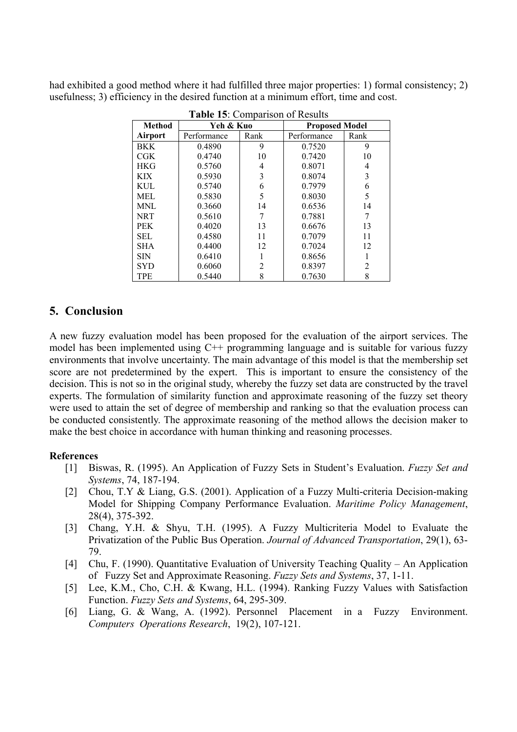had exhibited a good method where it had fulfilled three major properties: 1) formal consistency; 2) usefulness; 3) efficiency in the desired function at a minimum effort, time and cost.

| Method     | Yeh & Kuo   |      | <b>Proposed Model</b> |                |  |
|------------|-------------|------|-----------------------|----------------|--|
| Airport    | Performance | Rank | Performance           | Rank           |  |
| BKK.       | 0.4890      | 9    | 0.7520                | 9              |  |
| $C$ GK     | 0.4740      | 10   | 0.7420                | 10             |  |
| <b>HKG</b> | 0.5760      | 4    | 0.8071                | 4              |  |
| <b>KIX</b> | 0.5930      | 3    | 0.8074                | 3              |  |
| KUL        | 0.5740      | 6    | 0.7979                | 6              |  |
| MEL        | 0.5830      | 5    | 0.8030                | 5              |  |
| MNL        | 0.3660      | 14   | 0.6536                | 14             |  |
| <b>NRT</b> | 0.5610      | 7    | 0.7881                | 7              |  |
| <b>PEK</b> | 0.4020      | 13   | 0.6676                | 13             |  |
| <b>SEL</b> | 0.4580      | 11   | 0.7079                | 11             |  |
| <b>SHA</b> | 0.4400      | 12   | 0.7024                | 12             |  |
| <b>SIN</b> | 0.6410      |      | 0.8656                |                |  |
| <b>SYD</b> | 0.6060      | 2    | 0.8397                | $\overline{c}$ |  |
| TPE        | 0.5440      | 8    | 0.7630                | 8              |  |

**Table 15**: Comparison of Results

## **5. Conclusion**

A new fuzzy evaluation model has been proposed for the evaluation of the airport services. The model has been implemented using C++ programming language and is suitable for various fuzzy environments that involve uncertainty. The main advantage of this model is that the membership set score are not predetermined by the expert. This is important to ensure the consistency of the decision. This is not so in the original study, whereby the fuzzy set data are constructed by the travel experts. The formulation of similarity function and approximate reasoning of the fuzzy set theory were used to attain the set of degree of membership and ranking so that the evaluation process can be conducted consistently. The approximate reasoning of the method allows the decision maker to make the best choice in accordance with human thinking and reasoning processes.

#### **References**

- [1] Biswas, R. (1995). An Application of Fuzzy Sets in Student's Evaluation. *Fuzzy Set and Systems*, 74, 187-194.
- [2] Chou, T.Y & Liang, G.S. (2001). Application of a Fuzzy Multi-criteria Decision-making Model for Shipping Company Performance Evaluation. *Maritime Policy Management*, 28(4), 375-392.
- [3] Chang, Y.H. & Shyu, T.H. (1995). A Fuzzy Multicriteria Model to Evaluate the Privatization of the Public Bus Operation. *Journal of Advanced Transportation*, 29(1), 63- 79.
- [4] Chu, F. (1990). Quantitative Evaluation of University Teaching Quality An Application of Fuzzy Set and Approximate Reasoning. *Fuzzy Sets and Systems*, 37, 1-11.
- [5] Lee, K.M., Cho, C.H. & Kwang, H.L. (1994). Ranking Fuzzy Values with Satisfaction Function. *Fuzzy Sets and Systems*, 64, 295-309.
- [6] Liang, G. & Wang, A. (1992). Personnel Placement in a Fuzzy Environment. *Computers Operations Research*, 19(2), 107-121.